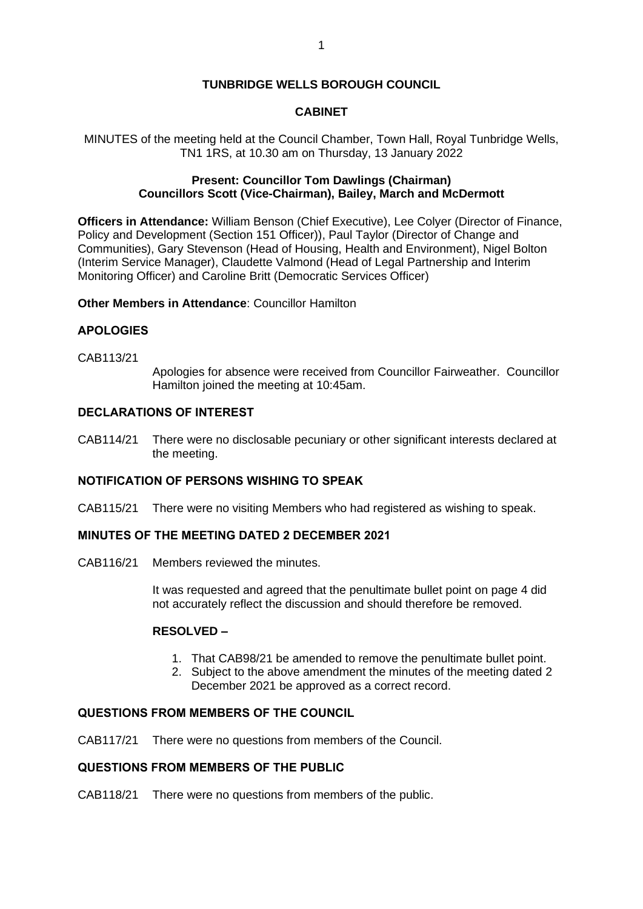# **TUNBRIDGE WELLS BOROUGH COUNCIL**

# **CABINET**

MINUTES of the meeting held at the Council Chamber, Town Hall, Royal Tunbridge Wells, TN1 1RS, at 10.30 am on Thursday, 13 January 2022

## **Present: Councillor Tom Dawlings (Chairman) Councillors Scott (Vice-Chairman), Bailey, March and McDermott**

**Officers in Attendance:** William Benson (Chief Executive), Lee Colyer (Director of Finance, Policy and Development (Section 151 Officer)), Paul Taylor (Director of Change and Communities), Gary Stevenson (Head of Housing, Health and Environment), Nigel Bolton (Interim Service Manager), Claudette Valmond (Head of Legal Partnership and Interim Monitoring Officer) and Caroline Britt (Democratic Services Officer)

### **Other Members in Attendance**: Councillor Hamilton

#### **APOLOGIES**

CAB113/21

Apologies for absence were received from Councillor Fairweather. Councillor Hamilton joined the meeting at 10:45am.

### **DECLARATIONS OF INTEREST**

CAB114/21 There were no disclosable pecuniary or other significant interests declared at the meeting.

# **NOTIFICATION OF PERSONS WISHING TO SPEAK**

CAB115/21 There were no visiting Members who had registered as wishing to speak.

#### **MINUTES OF THE MEETING DATED 2 DECEMBER 2021**

CAB116/21 Members reviewed the minutes.

It was requested and agreed that the penultimate bullet point on page 4 did not accurately reflect the discussion and should therefore be removed.

# **RESOLVED –**

- 1. That CAB98/21 be amended to remove the penultimate bullet point.
- 2. Subject to the above amendment the minutes of the meeting dated 2 December 2021 be approved as a correct record.

#### **QUESTIONS FROM MEMBERS OF THE COUNCIL**

CAB117/21 There were no questions from members of the Council.

#### **QUESTIONS FROM MEMBERS OF THE PUBLIC**

CAB118/21 There were no questions from members of the public.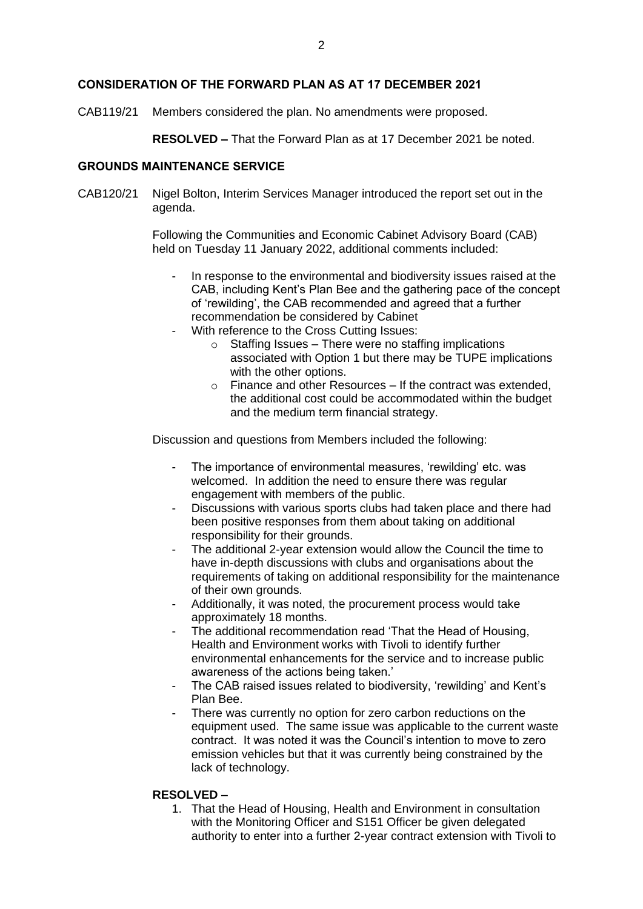### **CONSIDERATION OF THE FORWARD PLAN AS AT 17 DECEMBER 2021**

CAB119/21 Members considered the plan. No amendments were proposed.

**RESOLVED –** That the Forward Plan as at 17 December 2021 be noted.

#### **GROUNDS MAINTENANCE SERVICE**

CAB120/21 Nigel Bolton, Interim Services Manager introduced the report set out in the agenda.

> Following the Communities and Economic Cabinet Advisory Board (CAB) held on Tuesday 11 January 2022, additional comments included:

- In response to the environmental and biodiversity issues raised at the CAB, including Kent's Plan Bee and the gathering pace of the concept of 'rewilding', the CAB recommended and agreed that a further recommendation be considered by Cabinet
- With reference to the Cross Cutting Issues:
	- $\circ$  Staffing Issues There were no staffing implications associated with Option 1 but there may be TUPE implications with the other options.
	- $\circ$  Finance and other Resources If the contract was extended. the additional cost could be accommodated within the budget and the medium term financial strategy.

Discussion and questions from Members included the following:

- The importance of environmental measures, 'rewilding' etc. was welcomed. In addition the need to ensure there was regular engagement with members of the public.
- Discussions with various sports clubs had taken place and there had been positive responses from them about taking on additional responsibility for their grounds.
- The additional 2-year extension would allow the Council the time to have in-depth discussions with clubs and organisations about the requirements of taking on additional responsibility for the maintenance of their own grounds.
- Additionally, it was noted, the procurement process would take approximately 18 months.
- The additional recommendation read 'That the Head of Housing, Health and Environment works with Tivoli to identify further environmental enhancements for the service and to increase public awareness of the actions being taken.'
- The CAB raised issues related to biodiversity, 'rewilding' and Kent's Plan Bee.
- There was currently no option for zero carbon reductions on the equipment used. The same issue was applicable to the current waste contract. It was noted it was the Council's intention to move to zero emission vehicles but that it was currently being constrained by the lack of technology.

#### **RESOLVED –**

1. That the Head of Housing, Health and Environment in consultation with the Monitoring Officer and S151 Officer be given delegated authority to enter into a further 2-year contract extension with Tivoli to